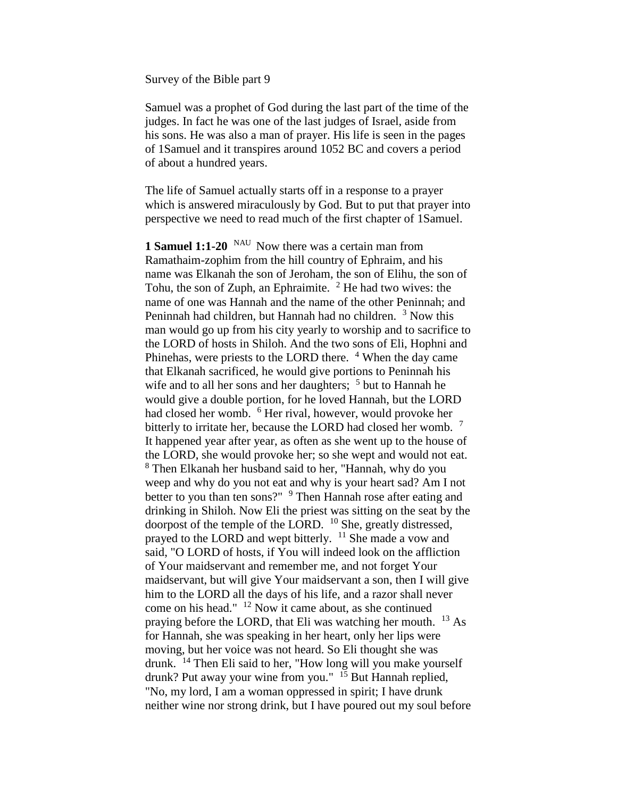Survey of the Bible part 9

Samuel was a prophet of God during the last part of the time of the judges. In fact he was one of the last judges of Israel, aside from his sons. He was also a man of prayer. His life is seen in the pages of 1Samuel and it transpires around 1052 BC and covers a period of about a hundred years.

The life of Samuel actually starts off in a response to a prayer which is answered miraculously by God. But to put that prayer into perspective we need to read much of the first chapter of 1Samuel.

**1 Samuel 1:1-20** <sup>NAU</sup> Now there was a certain man from Ramathaim-zophim from the hill country of Ephraim, and his name was Elkanah the son of Jeroham, the son of Elihu, the son of Tohu, the son of Zuph, an Ephraimite.  $2$  He had two wives: the name of one was Hannah and the name of the other Peninnah; and Peninnah had children, but Hannah had no children. <sup>3</sup> Now this man would go up from his city yearly to worship and to sacrifice to the LORD of hosts in Shiloh. And the two sons of Eli, Hophni and Phinehas, were priests to the LORD there. <sup>4</sup> When the day came that Elkanah sacrificed, he would give portions to Peninnah his wife and to all her sons and her daughters;  $5$  but to Hannah he would give a double portion, for he loved Hannah, but the LORD had closed her womb. <sup>6</sup> Her rival, however, would provoke her bitterly to irritate her, because the LORD had closed her womb. <sup>7</sup> It happened year after year, as often as she went up to the house of the LORD, she would provoke her; so she wept and would not eat. <sup>8</sup> Then Elkanah her husband said to her, "Hannah, why do you weep and why do you not eat and why is your heart sad? Am I not better to you than ten sons?" <sup>9</sup> Then Hannah rose after eating and drinking in Shiloh. Now Eli the priest was sitting on the seat by the doorpost of the temple of the LORD.  $^{10}$  She, greatly distressed, prayed to the LORD and wept bitterly. <sup>11</sup> She made a vow and said, "O LORD of hosts, if You will indeed look on the affliction of Your maidservant and remember me, and not forget Your maidservant, but will give Your maidservant a son, then I will give him to the LORD all the days of his life, and a razor shall never come on his head."  $12$  Now it came about, as she continued praying before the LORD, that Eli was watching her mouth. <sup>13</sup> As for Hannah, she was speaking in her heart, only her lips were moving, but her voice was not heard. So Eli thought she was drunk. <sup>14</sup> Then Eli said to her, "How long will you make yourself drunk? Put away your wine from you." <sup>15</sup> But Hannah replied, "No, my lord, I am a woman oppressed in spirit; I have drunk neither wine nor strong drink, but I have poured out my soul before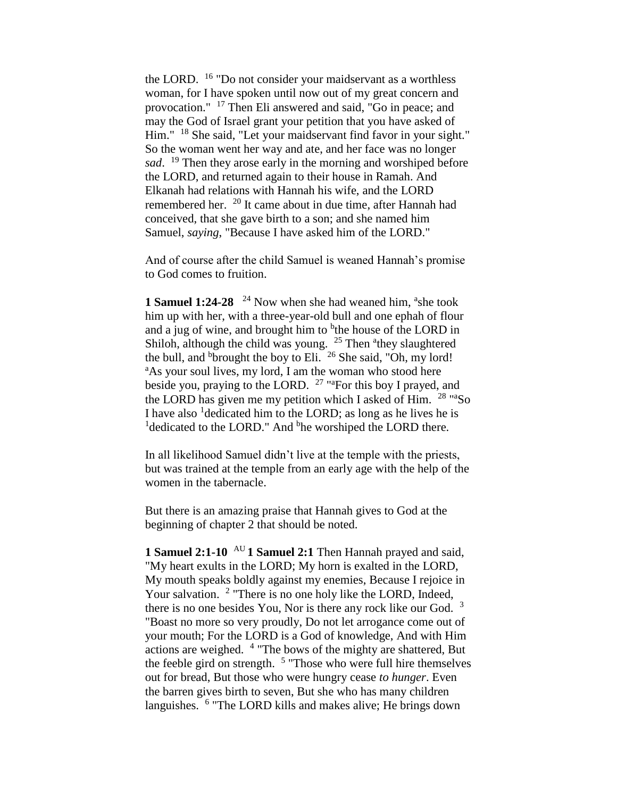the LORD. <sup>16</sup> "Do not consider your maidservant as a worthless woman, for I have spoken until now out of my great concern and provocation." <sup>17</sup> Then Eli answered and said, "Go in peace; and may the God of Israel grant your petition that you have asked of Him." <sup>18</sup> She said, "Let your maidservant find favor in your sight." So the woman went her way and ate, and her face was no longer *sad*. <sup>19</sup> Then they arose early in the morning and worshiped before the LORD, and returned again to their house in Ramah. And Elkanah had relations with Hannah his wife, and the LORD remembered her. <sup>20</sup> It came about in due time, after Hannah had conceived, that she gave birth to a son; and she named him Samuel, *saying*, "Because I have asked him of the LORD."

And of course after the child Samuel is weaned Hannah's promise to God comes to fruition.

**1 Samuel 1:24-28** <sup>24</sup> Now when she had weaned him, <sup>a</sup>she took him up with her, with a three-year-old bull and one ephah of flour and a jug of wine, and brought him to <sup>b</sup>the house of the LORD in Shiloh, although the child was young.  $25$  Then <sup>a</sup>they slaughtered the bull, and <sup>b</sup>brought the boy to Eli.  $^{26}$  She said, "Oh, my lord! <sup>a</sup>As your soul lives, my lord, I am the woman who stood here beside you, praying to the LORD.  $27$  "<sup>a</sup>For this boy I prayed, and the LORD has given me my petition which I asked of Him. <sup>28</sup> "aSo I have also <sup>1</sup> dedicated him to the LORD; as long as he lives he is <sup>1</sup>dedicated to the LORD." And <sup>b</sup>he worshiped the LORD there.

In all likelihood Samuel didn't live at the temple with the priests, but was trained at the temple from an early age with the help of the women in the tabernacle.

But there is an amazing praise that Hannah gives to God at the beginning of chapter 2 that should be noted.

**1 Samuel 2:1-10** AU **1 Samuel 2:1** Then Hannah prayed and said, "My heart exults in the LORD; My horn is exalted in the LORD, My mouth speaks boldly against my enemies, Because I rejoice in Your salvation. <sup>2</sup> "There is no one holy like the LORD, Indeed, there is no one besides You, Nor is there any rock like our God.  $3$ "Boast no more so very proudly, Do not let arrogance come out of your mouth; For the LORD is a God of knowledge, And with Him actions are weighed. <sup>4</sup> "The bows of the mighty are shattered, But the feeble gird on strength. <sup>5</sup> "Those who were full hire themselves out for bread, But those who were hungry cease *to hunger*. Even the barren gives birth to seven, But she who has many children languishes. <sup>6</sup> "The LORD kills and makes alive; He brings down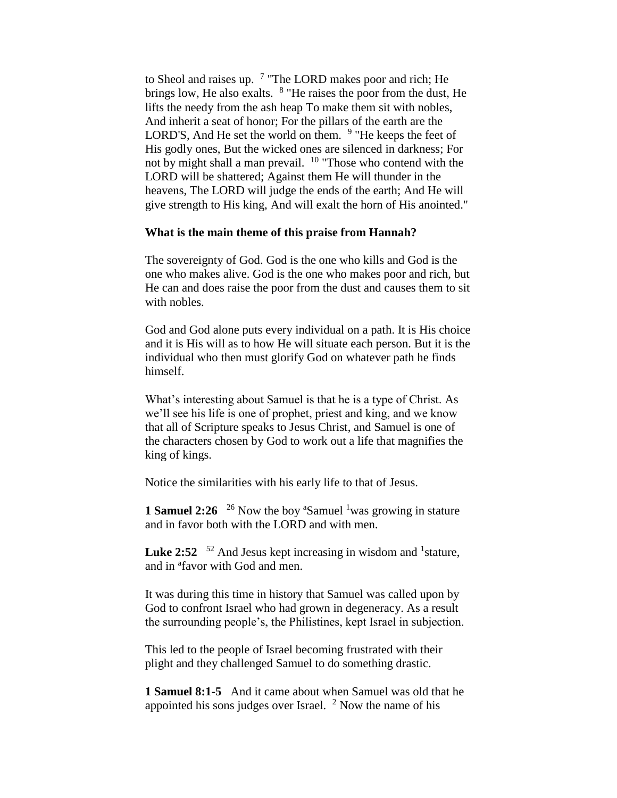to Sheol and raises up. <sup>7</sup> "The LORD makes poor and rich; He brings low, He also exalts. <sup>8</sup> "He raises the poor from the dust, He lifts the needy from the ash heap To make them sit with nobles, And inherit a seat of honor; For the pillars of the earth are the LORD'S, And He set the world on them. <sup>9</sup> "He keeps the feet of His godly ones, But the wicked ones are silenced in darkness; For not by might shall a man prevail.  $10$  "Those who contend with the LORD will be shattered; Against them He will thunder in the heavens, The LORD will judge the ends of the earth; And He will give strength to His king, And will exalt the horn of His anointed."

### **What is the main theme of this praise from Hannah?**

The sovereignty of God. God is the one who kills and God is the one who makes alive. God is the one who makes poor and rich, but He can and does raise the poor from the dust and causes them to sit with nobles.

God and God alone puts every individual on a path. It is His choice and it is His will as to how He will situate each person. But it is the individual who then must glorify God on whatever path he finds himself.

What's interesting about Samuel is that he is a type of Christ. As we'll see his life is one of prophet, priest and king, and we know that all of Scripture speaks to Jesus Christ, and Samuel is one of the characters chosen by God to work out a life that magnifies the king of kings.

Notice the similarities with his early life to that of Jesus.

**1 Samuel 2:26** <sup>26</sup> Now the boy <sup>a</sup>Samuel <sup>1</sup>was growing in stature and in favor both with the LORD and with men.

**Luke 2:52**  $\frac{52}{2}$  And Jesus kept increasing in wisdom and <sup>1</sup> stature, and in <sup>a</sup>favor with God and men.

It was during this time in history that Samuel was called upon by God to confront Israel who had grown in degeneracy. As a result the surrounding people's, the Philistines, kept Israel in subjection.

This led to the people of Israel becoming frustrated with their plight and they challenged Samuel to do something drastic.

**1 Samuel 8:1-5** And it came about when Samuel was old that he appointed his sons judges over Israel.  $2$  Now the name of his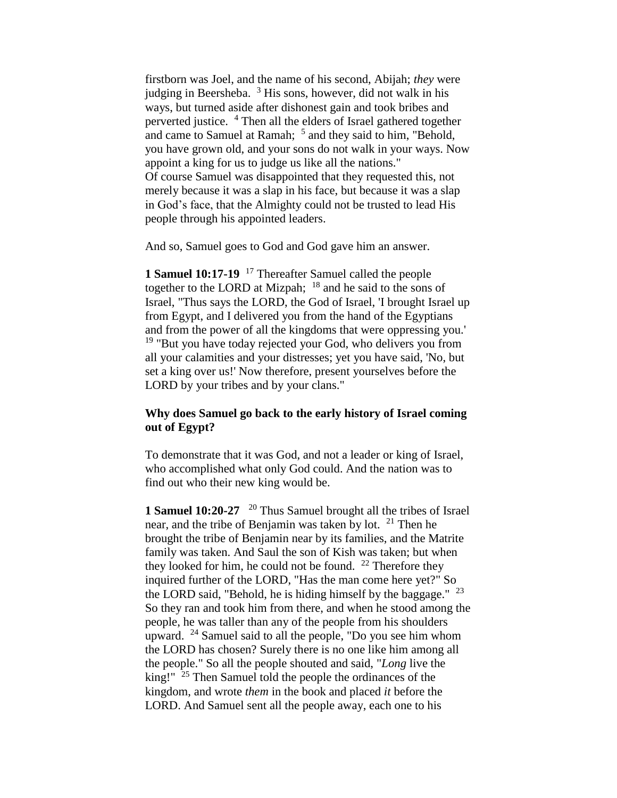firstborn was Joel, and the name of his second, Abijah; *they* were judging in Beersheba.  $3$  His sons, however, did not walk in his ways, but turned aside after dishonest gain and took bribes and perverted justice. <sup>4</sup> Then all the elders of Israel gathered together and came to Samuel at Ramah; <sup>5</sup> and they said to him, "Behold, you have grown old, and your sons do not walk in your ways. Now appoint a king for us to judge us like all the nations." Of course Samuel was disappointed that they requested this, not merely because it was a slap in his face, but because it was a slap in God's face, that the Almighty could not be trusted to lead His people through his appointed leaders.

And so, Samuel goes to God and God gave him an answer.

**1 Samuel 10:17-19** <sup>17</sup> Thereafter Samuel called the people together to the LORD at Mizpah; <sup>18</sup> and he said to the sons of Israel, "Thus says the LORD, the God of Israel, 'I brought Israel up from Egypt, and I delivered you from the hand of the Egyptians and from the power of all the kingdoms that were oppressing you.'  $19$  "But you have today rejected your God, who delivers you from all your calamities and your distresses; yet you have said, 'No, but set a king over us!' Now therefore, present yourselves before the LORD by your tribes and by your clans."

## **Why does Samuel go back to the early history of Israel coming out of Egypt?**

To demonstrate that it was God, and not a leader or king of Israel, who accomplished what only God could. And the nation was to find out who their new king would be.

**1 Samuel 10:20-27** <sup>20</sup> Thus Samuel brought all the tribes of Israel near, and the tribe of Benjamin was taken by lot.  $21$  Then he brought the tribe of Benjamin near by its families, and the Matrite family was taken. And Saul the son of Kish was taken; but when they looked for him, he could not be found.  $^{22}$  Therefore they inquired further of the LORD, "Has the man come here yet?" So the LORD said, "Behold, he is hiding himself by the baggage." <sup>23</sup> So they ran and took him from there, and when he stood among the people, he was taller than any of the people from his shoulders upward.  $24$  Samuel said to all the people, "Do you see him whom the LORD has chosen? Surely there is no one like him among all the people." So all the people shouted and said, "*Long* live the king!" <sup>25</sup> Then Samuel told the people the ordinances of the kingdom, and wrote *them* in the book and placed *it* before the LORD. And Samuel sent all the people away, each one to his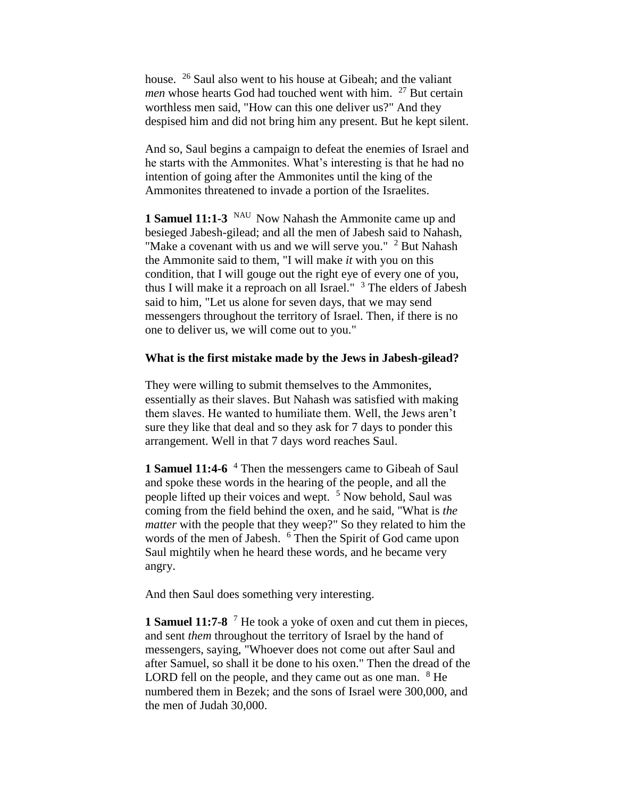house. <sup>26</sup> Saul also went to his house at Gibeah; and the valiant *men* whose hearts God had touched went with him. <sup>27</sup> But certain worthless men said, "How can this one deliver us?" And they despised him and did not bring him any present. But he kept silent.

And so, Saul begins a campaign to defeat the enemies of Israel and he starts with the Ammonites. What's interesting is that he had no intention of going after the Ammonites until the king of the Ammonites threatened to invade a portion of the Israelites.

**1 Samuel 11:1-3** NAU Now Nahash the Ammonite came up and besieged Jabesh-gilead; and all the men of Jabesh said to Nahash, "Make a covenant with us and we will serve you."  $2$  But Nahash the Ammonite said to them, "I will make *it* with you on this condition, that I will gouge out the right eye of every one of you, thus I will make it a reproach on all Israel."  $3$  The elders of Jabesh said to him, "Let us alone for seven days, that we may send messengers throughout the territory of Israel. Then, if there is no one to deliver us, we will come out to you."

#### **What is the first mistake made by the Jews in Jabesh-gilead?**

They were willing to submit themselves to the Ammonites, essentially as their slaves. But Nahash was satisfied with making them slaves. He wanted to humiliate them. Well, the Jews aren't sure they like that deal and so they ask for 7 days to ponder this arrangement. Well in that 7 days word reaches Saul.

**1 Samuel 11:4-6** <sup>4</sup> Then the messengers came to Gibeah of Saul and spoke these words in the hearing of the people, and all the people lifted up their voices and wept. <sup>5</sup> Now behold, Saul was coming from the field behind the oxen, and he said, "What is *the matter* with the people that they weep?" So they related to him the words of the men of Jabesh. <sup>6</sup> Then the Spirit of God came upon Saul mightily when he heard these words, and he became very angry.

And then Saul does something very interesting.

**1 Samuel 11:7-8** <sup>7</sup> He took a yoke of oxen and cut them in pieces, and sent *them* throughout the territory of Israel by the hand of messengers, saying, "Whoever does not come out after Saul and after Samuel, so shall it be done to his oxen." Then the dread of the LORD fell on the people, and they came out as one man. <sup>8</sup> He numbered them in Bezek; and the sons of Israel were 300,000, and the men of Judah 30,000.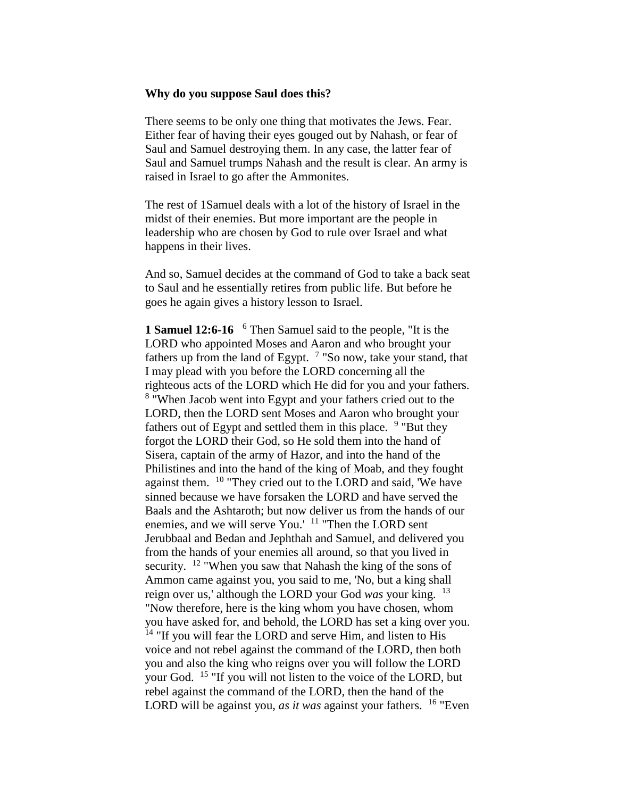### **Why do you suppose Saul does this?**

There seems to be only one thing that motivates the Jews. Fear. Either fear of having their eyes gouged out by Nahash, or fear of Saul and Samuel destroying them. In any case, the latter fear of Saul and Samuel trumps Nahash and the result is clear. An army is raised in Israel to go after the Ammonites.

The rest of 1Samuel deals with a lot of the history of Israel in the midst of their enemies. But more important are the people in leadership who are chosen by God to rule over Israel and what happens in their lives.

And so, Samuel decides at the command of God to take a back seat to Saul and he essentially retires from public life. But before he goes he again gives a history lesson to Israel.

**1 Samuel 12:6-16**  <sup>6</sup> Then Samuel said to the people, "It is the LORD who appointed Moses and Aaron and who brought your fathers up from the land of Egypt.  $7$  "So now, take your stand, that I may plead with you before the LORD concerning all the righteous acts of the LORD which He did for you and your fathers. <sup>8</sup> "When Jacob went into Egypt and your fathers cried out to the LORD, then the LORD sent Moses and Aaron who brought your fathers out of Egypt and settled them in this place. <sup>9</sup> "But they forgot the LORD their God, so He sold them into the hand of Sisera, captain of the army of Hazor, and into the hand of the Philistines and into the hand of the king of Moab, and they fought against them. <sup>10</sup> "They cried out to the LORD and said, 'We have sinned because we have forsaken the LORD and have served the Baals and the Ashtaroth; but now deliver us from the hands of our enemies, and we will serve You.' <sup>11</sup> "Then the LORD sent Jerubbaal and Bedan and Jephthah and Samuel, and delivered you from the hands of your enemies all around, so that you lived in security. <sup>12</sup> "When you saw that Nahash the king of the sons of Ammon came against you, you said to me, 'No, but a king shall reign over us,' although the LORD your God *was* your king. <sup>13</sup> "Now therefore, here is the king whom you have chosen, whom you have asked for, and behold, the LORD has set a king over you. <sup>14</sup> "If you will fear the LORD and serve Him, and listen to His voice and not rebel against the command of the LORD, then both you and also the king who reigns over you will follow the LORD your God. <sup>15</sup> "If you will not listen to the voice of the LORD, but rebel against the command of the LORD, then the hand of the LORD will be against you, *as it was* against your fathers. <sup>16</sup> "Even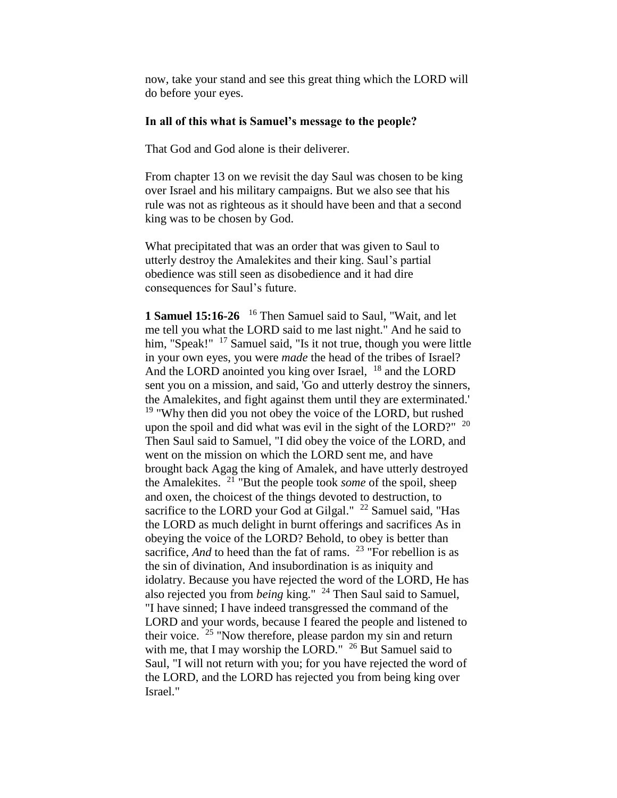now, take your stand and see this great thing which the LORD will do before your eyes.

### **In all of this what is Samuel's message to the people?**

That God and God alone is their deliverer.

From chapter 13 on we revisit the day Saul was chosen to be king over Israel and his military campaigns. But we also see that his rule was not as righteous as it should have been and that a second king was to be chosen by God.

What precipitated that was an order that was given to Saul to utterly destroy the Amalekites and their king. Saul's partial obedience was still seen as disobedience and it had dire consequences for Saul's future.

1 **Samuel 15:16-26** <sup>16</sup> Then Samuel said to Saul, "Wait, and let me tell you what the LORD said to me last night." And he said to him, "Speak!" <sup>17</sup> Samuel said, "Is it not true, though you were little in your own eyes, you were *made* the head of the tribes of Israel? And the LORD anointed you king over Israel,  $^{18}$  and the LORD sent you on a mission, and said, 'Go and utterly destroy the sinners, the Amalekites, and fight against them until they are exterminated.'  $19$  "Why then did you not obey the voice of the LORD, but rushed upon the spoil and did what was evil in the sight of the LORD?" <sup>20</sup> Then Saul said to Samuel, "I did obey the voice of the LORD, and went on the mission on which the LORD sent me, and have brought back Agag the king of Amalek, and have utterly destroyed the Amalekites. <sup>21</sup> "But the people took *some* of the spoil, sheep and oxen, the choicest of the things devoted to destruction, to sacrifice to the LORD your God at Gilgal." <sup>22</sup> Samuel said, "Has the LORD as much delight in burnt offerings and sacrifices As in obeying the voice of the LORD? Behold, to obey is better than sacrifice, *And* to heed than the fat of rams. <sup>23</sup> "For rebellion is as the sin of divination, And insubordination is as iniquity and idolatry. Because you have rejected the word of the LORD, He has also rejected you from *being* king." <sup>24</sup> Then Saul said to Samuel, "I have sinned; I have indeed transgressed the command of the LORD and your words, because I feared the people and listened to their voice.<sup>25</sup> "Now therefore, please pardon my sin and return with me, that I may worship the LORD."  $26$  But Samuel said to Saul, "I will not return with you; for you have rejected the word of the LORD, and the LORD has rejected you from being king over Israel."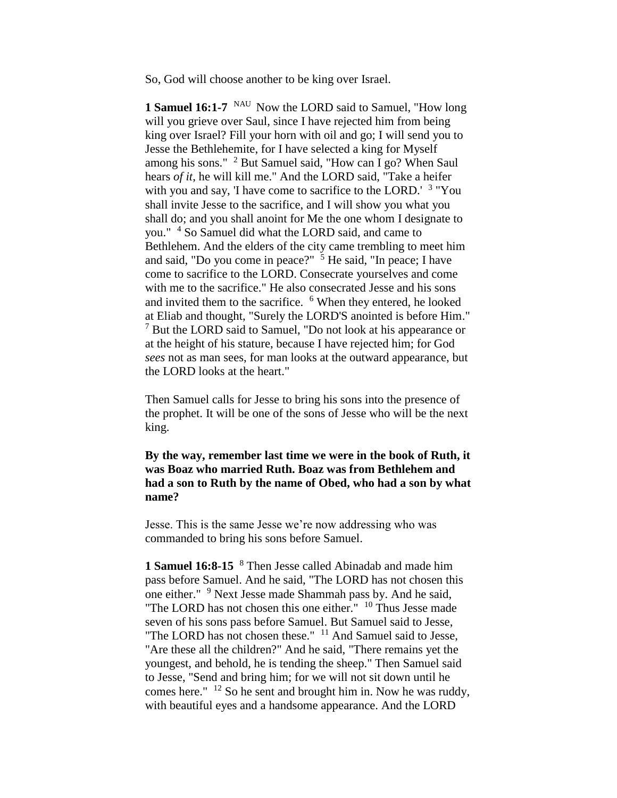So, God will choose another to be king over Israel.

**1 Samuel 16:1-7** <sup>NAU</sup> Now the LORD said to Samuel, "How long will you grieve over Saul, since I have rejected him from being king over Israel? Fill your horn with oil and go; I will send you to Jesse the Bethlehemite, for I have selected a king for Myself among his sons." <sup>2</sup> But Samuel said, "How can I go? When Saul hears *of it*, he will kill me." And the LORD said, "Take a heifer with you and say, 'I have come to sacrifice to the LORD.' <sup>3</sup> "You shall invite Jesse to the sacrifice, and I will show you what you shall do; and you shall anoint for Me the one whom I designate to you." <sup>4</sup> So Samuel did what the LORD said, and came to Bethlehem. And the elders of the city came trembling to meet him and said, "Do you come in peace?"  $\frac{5}{5}$  He said, "In peace; I have come to sacrifice to the LORD. Consecrate yourselves and come with me to the sacrifice." He also consecrated Jesse and his sons and invited them to the sacrifice. <sup>6</sup> When they entered, he looked at Eliab and thought, "Surely the LORD'S anointed is before Him." <sup>7</sup> But the LORD said to Samuel, "Do not look at his appearance or at the height of his stature, because I have rejected him; for God *sees* not as man sees, for man looks at the outward appearance, but the LORD looks at the heart."

Then Samuel calls for Jesse to bring his sons into the presence of the prophet. It will be one of the sons of Jesse who will be the next king.

**By the way, remember last time we were in the book of Ruth, it was Boaz who married Ruth. Boaz was from Bethlehem and had a son to Ruth by the name of Obed, who had a son by what name?**

Jesse. This is the same Jesse we're now addressing who was commanded to bring his sons before Samuel.

**1 Samuel 16:8-15** <sup>8</sup> Then Jesse called Abinadab and made him pass before Samuel. And he said, "The LORD has not chosen this one either." <sup>9</sup> Next Jesse made Shammah pass by. And he said, "The LORD has not chosen this one either."  $10$  Thus Jesse made seven of his sons pass before Samuel. But Samuel said to Jesse, "The LORD has not chosen these."  $11$  And Samuel said to Jesse, "Are these all the children?" And he said, "There remains yet the youngest, and behold, he is tending the sheep." Then Samuel said to Jesse, "Send and bring him; for we will not sit down until he comes here."  $12$  So he sent and brought him in. Now he was ruddy, with beautiful eyes and a handsome appearance. And the LORD